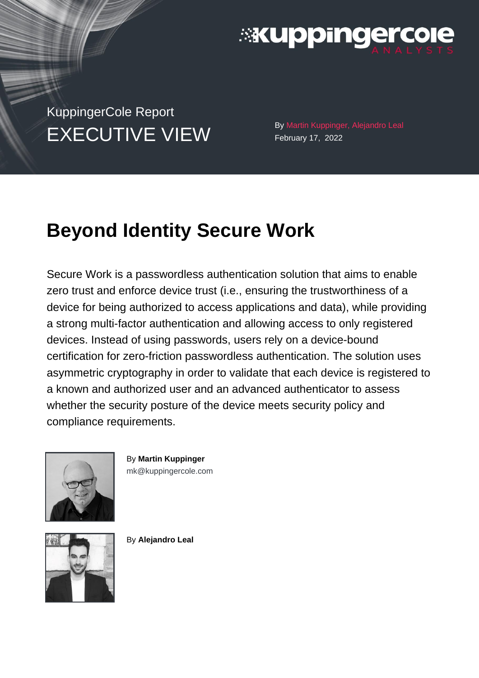

KuppingerCole Report EXECUTIVE VIEW By Martin Kuppinger, Alejandro Leal

February 17, 2022

# **Beyond Identity Secure Work**

Secure Work is a passwordless authentication solution that aims to enable zero trust and enforce device trust (i.e., ensuring the trustworthiness of a device for being authorized to access applications and data), while providing a strong multi-factor authentication and allowing access to only registered devices. Instead of using passwords, users rely on a device-bound certification for zero-friction passwordless authentication. The solution uses asymmetric cryptography in order to validate that each device is registered to a known and authorized user and an advanced authenticator to assess whether the security posture of the device meets security policy and compliance requirements.



By **Martin Kuppinger** [mk@kuppingercole.com](mailto:mk@kuppingercole.com)



By **Alejandro Leal**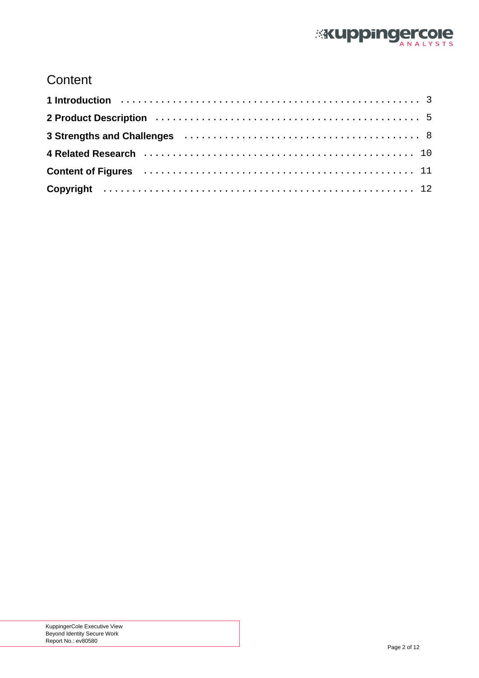

# **Content**

| 2 Product Description (and the contract of the contract of the contract of the contract of the contract of the |  |
|----------------------------------------------------------------------------------------------------------------|--|
|                                                                                                                |  |
|                                                                                                                |  |
| Content of Figures (Allerman Alexander Alexander Alexander Alexander Alexander Alexander Alexander Alexander A |  |
|                                                                                                                |  |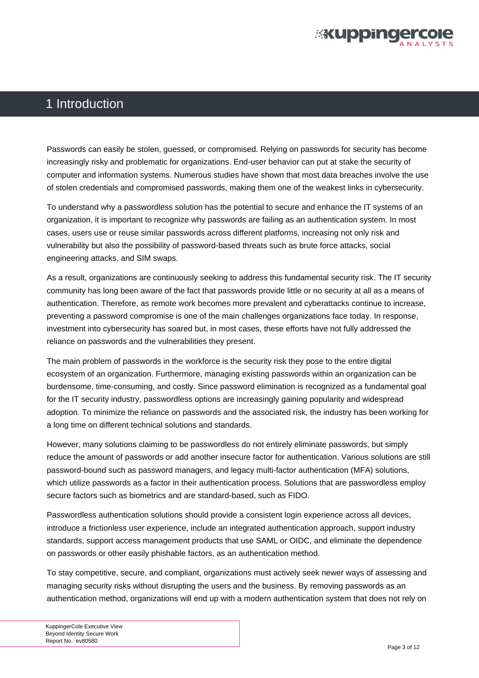

### <span id="page-2-0"></span>1 Introduction

Passwords can easily be stolen, guessed, or compromised. Relying on passwords for security has become increasingly risky and problematic for organizations. End-user behavior can put at stake the security of computer and information systems. Numerous studies have shown that most data breaches involve the use of stolen credentials and compromised passwords, making them one of the weakest links in cybersecurity.

To understand why a passwordless solution has the potential to secure and enhance the IT systems of an organization, it is important to recognize why passwords are failing as an authentication system. In most cases, users use or reuse similar passwords across different platforms, increasing not only risk and vulnerability but also the possibility of password-based threats such as brute force attacks, social engineering attacks, and SIM swaps.

As a result, organizations are continuously seeking to address this fundamental security risk. The IT security community has long been aware of the fact that passwords provide little or no security at all as a means of authentication. Therefore, as remote work becomes more prevalent and cyberattacks continue to increase, preventing a password compromise is one of the main challenges organizations face today. In response, investment into cybersecurity has soared but, in most cases, these efforts have not fully addressed the reliance on passwords and the vulnerabilities they present.

The main problem of passwords in the workforce is the security risk they pose to the entire digital ecosystem of an organization. Furthermore, managing existing passwords within an organization can be burdensome, time-consuming, and costly. Since password elimination is recognized as a fundamental goal for the IT security industry, passwordless options are increasingly gaining popularity and widespread adoption. To minimize the reliance on passwords and the associated risk, the industry has been working for a long time on different technical solutions and standards.

However, many solutions claiming to be passwordless do not entirely eliminate passwords, but simply reduce the amount of passwords or add another insecure factor for authentication. Various solutions are still password-bound such as password managers, and legacy multi-factor authentication (MFA) solutions, which utilize passwords as a factor in their authentication process. Solutions that are passwordless employ secure factors such as biometrics and are standard-based, such as FIDO.

Passwordless authentication solutions should provide a consistent login experience across all devices, introduce a frictionless user experience, include an integrated authentication approach, support industry standards, support access management products that use SAML or OIDC, and eliminate the dependence on passwords or other easily phishable factors, as an authentication method.

To stay competitive, secure, and compliant, organizations must actively seek newer ways of assessing and managing security risks without disrupting the users and the business. By removing passwords as an authentication method, organizations will end up with a modern authentication system that does not rely on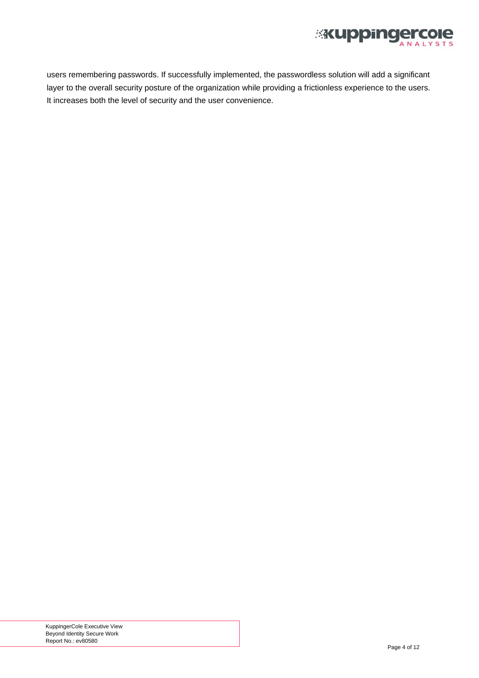

users remembering passwords. If successfully implemented, the passwordless solution will add a significant layer to the overall security posture of the organization while providing a frictionless experience to the users. It increases both the level of security and the user convenience.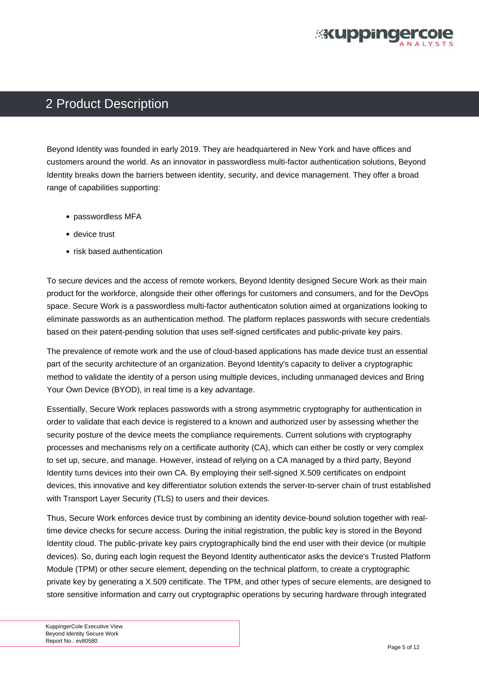

### <span id="page-4-0"></span>2 Product Description

Beyond Identity was founded in early 2019. They are headquartered in New York and have offices and customers around the world. As an innovator in passwordless multi-factor authentication solutions, Beyond Identity breaks down the barriers between identity, security, and device management. They offer a broad range of capabilities supporting:

- passwordless MFA
- device trust
- risk based authentication

To secure devices and the access of remote workers, Beyond Identity designed Secure Work as their main product for the workforce, alongside their other offerings for customers and consumers, and for the DevOps space. Secure Work is a passwordless multi-factor authenticaton solution aimed at organizations looking to eliminate passwords as an authentication method. The platform replaces passwords with secure credentials based on their patent-pending solution that uses self-signed certificates and public-private key pairs.

The prevalence of remote work and the use of cloud-based applications has made device trust an essential part of the security architecture of an organization. Beyond Identity's capacity to deliver a cryptographic method to validate the identity of a person using multiple devices, including unmanaged devices and Bring Your Own Device (BYOD), in real time is a key advantage.

Essentially, Secure Work replaces passwords with a strong asymmetric cryptography for authentication in order to validate that each device is registered to a known and authorized user by assessing whether the security posture of the device meets the compliance requirements. Current solutions with cryptography processes and mechanisms rely on a certificate authority (CA), which can either be costly or very complex to set up, secure, and manage. However, instead of relying on a CA managed by a third party, Beyond Identity turns devices into their own CA. By employing their self-signed X.509 certificates on endpoint devices, this innovative and key differentiator solution extends the server-to-server chain of trust established with Transport Layer Security (TLS) to users and their devices.

Thus, Secure Work enforces device trust by combining an identity device-bound solution together with realtime device checks for secure access. During the initial registration, the public key is stored in the Beyond Identity cloud. The public-private key pairs cryptographically bind the end user with their device (or multiple devices). So, during each login request the Beyond Identity authenticator asks the device's Trusted Platform Module (TPM) or other secure element, depending on the technical platform, to create a cryptographic private key by generating a X.509 certificate. The TPM, and other types of secure elements, are designed to store sensitive information and carry out cryptographic operations by securing hardware through integrated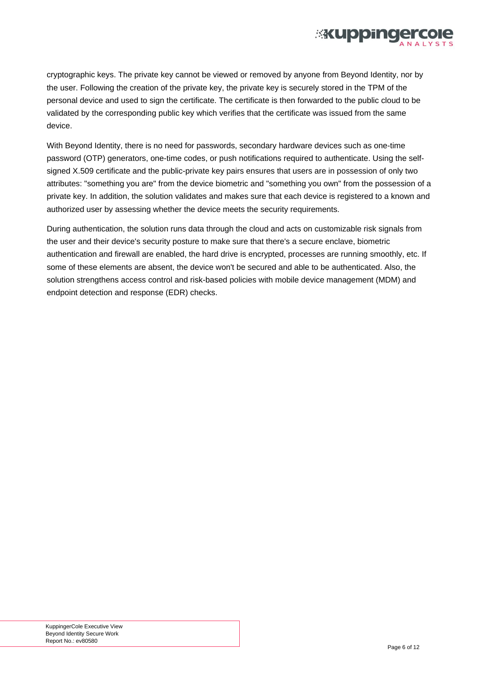

cryptographic keys. The private key cannot be viewed or removed by anyone from Beyond Identity, nor by the user. Following the creation of the private key, the private key is securely stored in the TPM of the personal device and used to sign the certificate. The certificate is then forwarded to the public cloud to be validated by the corresponding public key which verifies that the certificate was issued from the same device.

With Beyond Identity, there is no need for passwords, secondary hardware devices such as one-time password (OTP) generators, one-time codes, or push notifications required to authenticate. Using the selfsigned X.509 certificate and the public-private key pairs ensures that users are in possession of only two attributes: "something you are" from the device biometric and "something you own" from the possession of a private key. In addition, the solution validates and makes sure that each device is registered to a known and authorized user by assessing whether the device meets the security requirements.

During authentication, the solution runs data through the cloud and acts on customizable risk signals from the user and their device's security posture to make sure that there's a secure enclave, biometric authentication and firewall are enabled, the hard drive is encrypted, processes are running smoothly, etc. If some of these elements are absent, the device won't be secured and able to be authenticated. Also, the solution strengthens access control and risk-based policies with mobile device management (MDM) and endpoint detection and response (EDR) checks.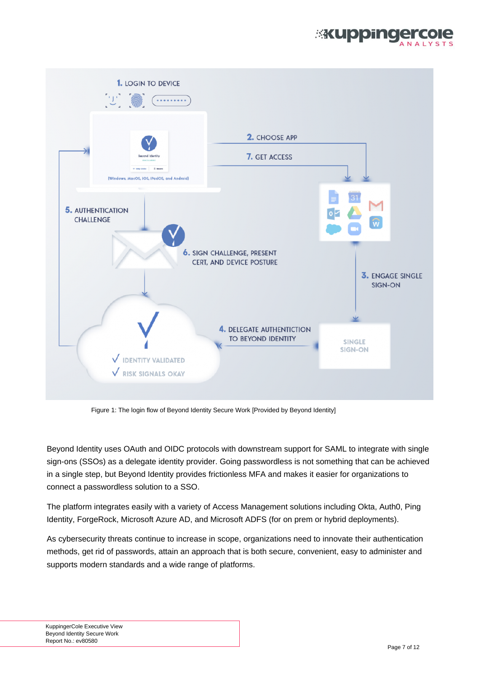

<span id="page-6-0"></span>

Figure 1: The login flow of Beyond Identity Secure Work [Provided by Beyond Identity]

Beyond Identity uses OAuth and OIDC protocols with downstream support for SAML to integrate with single sign-ons (SSOs) as a delegate identity provider. Going passwordless is not something that can be achieved in a single step, but Beyond Identity provides frictionless MFA and makes it easier for organizations to connect a passwordless solution to a SSO.

The platform integrates easily with a variety of Access Management solutions including Okta, Auth0, Ping Identity, ForgeRock, Microsoft Azure AD, and Microsoft ADFS (for on prem or hybrid deployments).

As cybersecurity threats continue to increase in scope, organizations need to innovate their authentication methods, get rid of passwords, attain an approach that is both secure, convenient, easy to administer and supports modern standards and a wide range of platforms.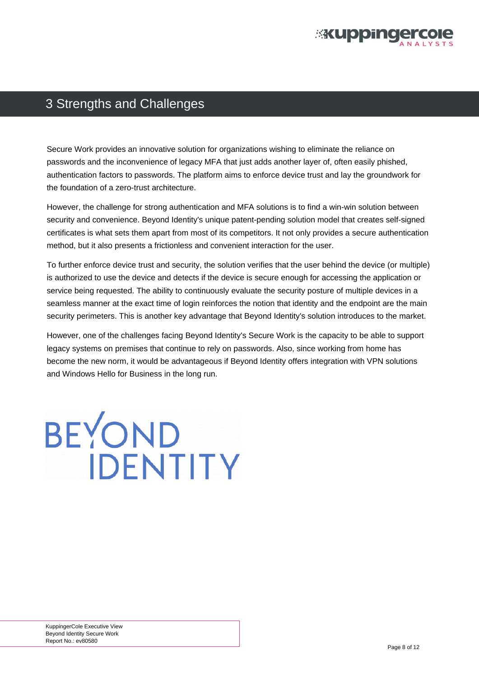

### <span id="page-7-0"></span>3 Strengths and Challenges

Secure Work provides an innovative solution for organizations wishing to eliminate the reliance on passwords and the inconvenience of legacy MFA that just adds another layer of, often easily phished, authentication factors to passwords. The platform aims to enforce device trust and lay the groundwork for the foundation of a zero-trust architecture.

However, the challenge for strong authentication and MFA solutions is to find a win-win solution between security and convenience. Beyond Identity's unique patent-pending solution model that creates self-signed certificates is what sets them apart from most of its competitors. It not only provides a secure authentication method, but it also presents a frictionless and convenient interaction for the user.

To further enforce device trust and security, the solution verifies that the user behind the device (or multiple) is authorized to use the device and detects if the device is secure enough for accessing the application or service being requested. The ability to continuously evaluate the security posture of multiple devices in a seamless manner at the exact time of login reinforces the notion that identity and the endpoint are the main security perimeters. This is another key advantage that Beyond Identity's solution introduces to the market.

However, one of the challenges facing Beyond Identity's Secure Work is the capacity to be able to support legacy systems on premises that continue to rely on passwords. Also, since working from home has become the new norm, it would be advantageous if Beyond Identity offers integration with VPN solutions and Windows Hello for Business in the long run.

BEYOND

**IDENTITY** 

KuppingerCole Executive View Beyond Identity Secure Work Report No.: ev80580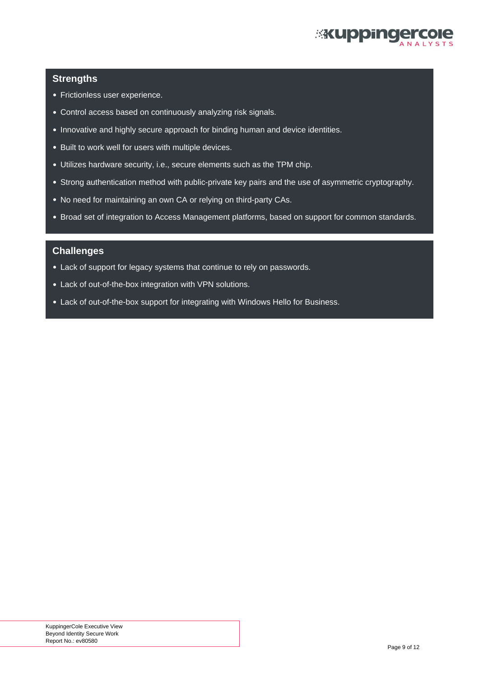

#### **Strengths**

- Frictionless user experience.
- Control access based on continuously analyzing risk signals.
- Innovative and highly secure approach for binding human and device identities.
- Built to work well for users with multiple devices.
- Utilizes hardware security, i.e., secure elements such as the TPM chip.
- Strong authentication method with public-private key pairs and the use of asymmetric cryptography.
- No need for maintaining an own CA or relying on third-party CAs.
- Broad set of integration to Access Management platforms, based on support for common standards.

#### **Challenges**

- Lack of support for legacy systems that continue to rely on passwords.
- Lack of out-of-the-box integration with VPN solutions.
- Lack of out-of-the-box support for integrating with Windows Hello for Business.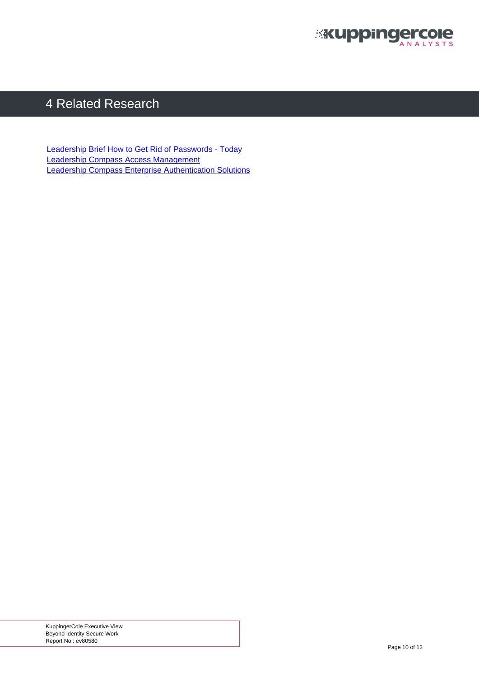

# <span id="page-9-0"></span>4 Related Research

[Leadership Brief How to Get Rid of Passwords - Today](https://www.kuppingercole.com/research/lb80234/how-to-get-rid-of-passwords-today) [Leadership Compass Access Management](https://www.kuppingercole.com/research/lc80257/access-management) [Leadership Compass Enterprise Authentication Solutions](https://www.kuppingercole.com/research/lc80062/enterprise-authentication-solutions)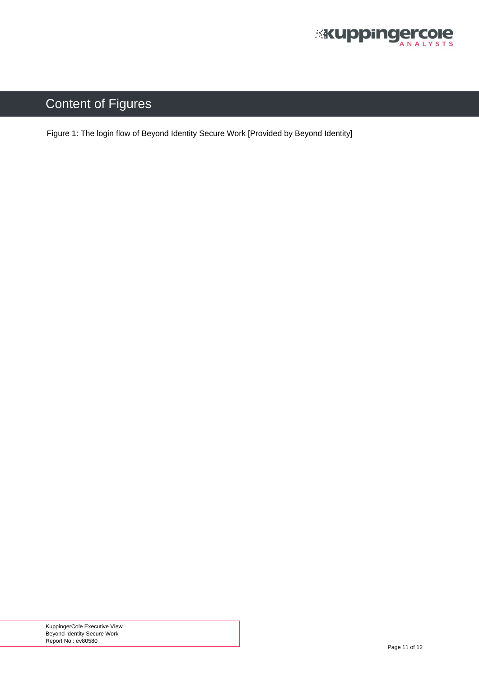

# <span id="page-10-0"></span>Content of Figures

[Figure 1: The login flow of Beyond Identity Secure Work \[Provided by Beyond Identity\]](#page-6-0)